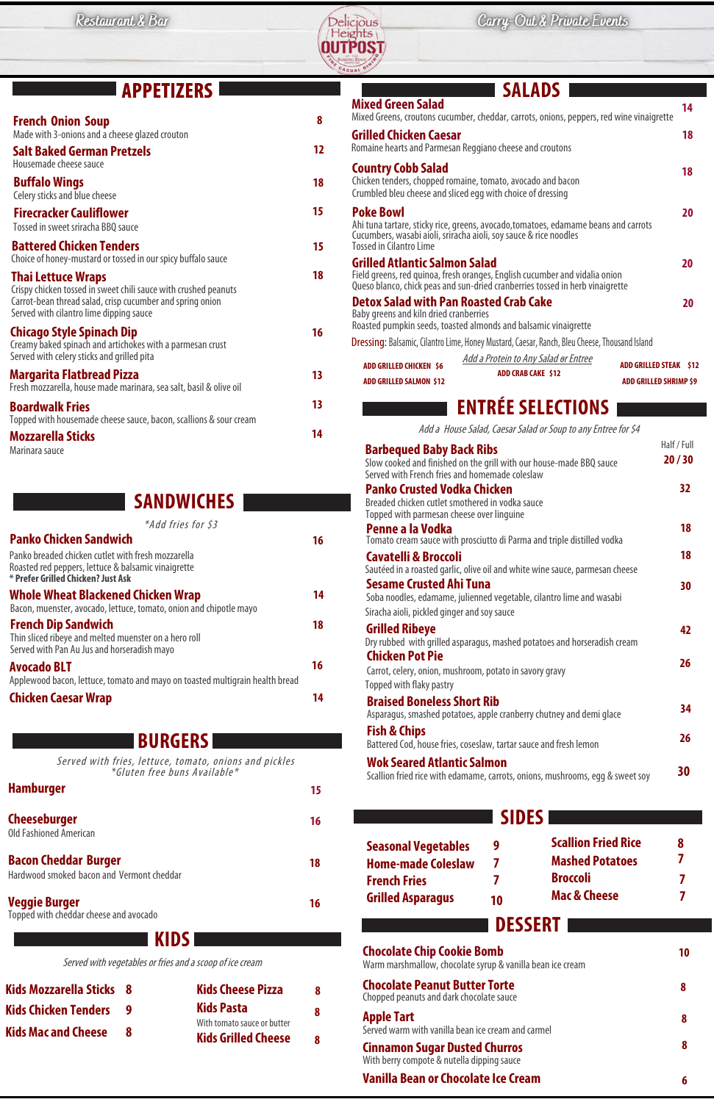

## **BURGERS**

Served with fries, lettuce, tomato, onions and pickles \*Gluten free buns Available\*

**Cheeseburger**  Old Fashioned American

**Bacon Cheddar Burger**  Hardwood smoked bacon and Vermont cheddar

**Veggie Burger**  Topped with cheddar cheese andavocado **16** 

**18**

| * Prefer Grilled Chicken? Just Ask                                                                                                 |    |
|------------------------------------------------------------------------------------------------------------------------------------|----|
| <b>Whole Wheat Blackened Chicken Wrap</b><br>Bacon, muenster, avocado, lettuce, tomato, onion and chipotle mayo                    | 14 |
| <b>French Dip Sandwich</b><br>Thin sliced ribeye and melted muenster on a hero roll<br>Served with Pan Au Jus and horseradish mayo | 18 |
| <b>Avocado BLT</b><br>Applewood bacon, lettuce, tomato and mayo on toasted multigrain health bread                                 | 16 |
| <b>Chicken Caesar Wrap</b>                                                                                                         | 14 |

 **9 7 7 Seasonal Vegetables Home-made Coleslaw French Fries Grilled Asparagus**

**16**

| <b>APPETIZERS</b>                                                                                                                           |           | <b>SALADS</b><br><b>Mixed Green Salad</b>                                                                                                                                                                |                      |  |
|---------------------------------------------------------------------------------------------------------------------------------------------|-----------|----------------------------------------------------------------------------------------------------------------------------------------------------------------------------------------------------------|----------------------|--|
| <b>French Onion Soup</b><br>Made with 3-onions and a cheese glazed crouton                                                                  | 8         | Mixed Greens, croutons cucumber, cheddar, carrots, onions, peppers, red wine vinaigrette<br><b>Grilled Chicken Caesar</b>                                                                                | 14<br><b>18</b>      |  |
| <b>Salt Baked German Pretzels</b><br>Housemade cheese sauce                                                                                 | 12        | Romaine hearts and Parmesan Reggiano cheese and croutons                                                                                                                                                 |                      |  |
| <b>Buffalo Wings</b><br>Celery sticks and blue cheese                                                                                       | 18        | <b>Country Cobb Salad</b><br>Chicken tenders, chopped romaine, tomato, avocado and bacon<br>Crumbled bleu cheese and sliced egg with choice of dressing                                                  |                      |  |
| <b>Firecracker Cauliflower</b><br>Tossed in sweet sriracha BBQ sauce                                                                        | 15        | <b>Poke Bowl</b><br>Ahi tuna tartare, sticky rice, greens, avocado, tomatoes, edamame beans and carrots                                                                                                  |                      |  |
| <b>Battered Chicken Tenders</b><br>Choice of honey-mustard or tossed in our spicy buffalo sauce                                             | 15        | Cucumbers, wasabi aioli, sriracha aioli, soy sauce & rice noodles<br><b>Tossed in Cilantro Lime</b>                                                                                                      | 20                   |  |
| <b>Thai Lettuce Wraps</b><br>Crispy chicken tossed in sweet chili sauce with crushed peanuts                                                | <b>18</b> | <b>Grilled Atlantic Salmon Salad</b><br>Field greens, red quinoa, fresh oranges, English cucumber and vidalia onion<br>Queso blanco, chick peas and sun-dried cranberries tossed in herb vinaigrette     |                      |  |
| Carrot-bean thread salad, crisp cucumber and spring onion<br>Served with cilantro lime dipping sauce                                        |           | <b>Detox Salad with Pan Roasted Crab Cake</b><br>Baby greens and kiln dried cranberries                                                                                                                  | 20                   |  |
| <b>Chicago Style Spinach Dip</b><br>Creamy baked spinach and artichokes with a parmesan crust<br>Served with celery sticks and grilled pita | 16        | Roasted pumpkin seeds, toasted almonds and balsamic vinaigrette<br>Dressing: Balsamic, Cilantro Lime, Honey Mustard, Caesar, Ranch, Bleu Cheese, Thousand Island<br>Add a Protein to Any Salad or Entree |                      |  |
| Margarita Flatbread Pizza<br>Fresh mozzarella, house made marinara, sea salt, basil & olive oil                                             | 13        | <b>ADD GRILLED CHICKEN \$6</b><br><b>ADD GRILLED STEAK \$12</b><br><b>ADD CRAB CAKE \$12</b><br><b>ADD GRILLED SHRIMP \$9</b><br><b>ADD GRILLED SALMON \$12</b>                                          |                      |  |
| <b>Boardwalk Fries</b>                                                                                                                      | 13        | <b>ENTRÉE SELECTIONS</b>                                                                                                                                                                                 |                      |  |
| Topped with housemade cheese sauce, bacon, scallions & sour cream<br><b>Mozzarella Sticks</b>                                               | 14        | Add a House Salad, Caesar Salad or Soup to any Entree for \$4                                                                                                                                            |                      |  |
| Marinara sauce                                                                                                                              |           | <b>Barbequed Baby Back Ribs</b><br>Slow cooked and finished on the grill with our house-made BBQ sauce<br>Served with French fries and homemade coleslaw                                                 | Half / Full<br>20/30 |  |
| <b>SANDWICHES</b>                                                                                                                           |           | <b>Panko Crusted Vodka Chicken</b><br>Breaded chicken cutlet smothered in vodka sauce<br>Topped with parmesan cheese over linguine                                                                       | 32 <sub>2</sub>      |  |
| *Add fries for \$3<br><b>Panko Chicken Sandwich</b>                                                                                         |           | Penne a la Vodka                                                                                                                                                                                         | <b>18</b>            |  |
| Panko breaded chicken cutlet with fresh mozzarella<br>Roasted red peppers, lettuce & balsamic vinaigrette                                   | 16        | Tomato cream sauce with prosciutto di Parma and triple distilled vodka<br><b>Cavatelli &amp; Broccoli</b><br>Sautéed in a roasted garlic, olive oil and white wine sauce, parmesan cheese                | 18                   |  |

**30**

**Chocolate Chip Cookie Bomb**

Warm marshmallow, chocolate syrup & vanilla bean ice cream

**Chocolate Peanut Butter Torte**

Chopped peanuts and dark chocolate sauce

### **Apple Tart**

Served warm with vanilla bean ice cream and carmel

### **Cinnamon Sugar Dusted Churros**

With berry compote & nutella dipping sauce

#### **Vanilla Bean or Chocolate Ice Cream**

**8**

**10**

**8**

**8**

**6**

Served with vegetables or fries and a scoop of ice cream

**Kids Mozzarella Sticks 8 Kids Chicken Tenders 9 Kids Mac and Cheese 8**  **KIDS**

**DESSERT**

**Kids Cheese Pizza Kids Pasta**  With tomato sauce or butter **Kids Grilled Cheese 8 8 8** **26**

**42**



**Sesame Crusted Ahi Tuna**

Soba noodles, edamame, julienned vegetable, cilantro lime and wasabi

Siracha aioli, pickled ginger and soy sauce

**Grilled Ribeye** 

Dry rubbed with grilled asparagus, mashed potatoes and horseradish cream

**Chicken Pot Pie**

Carrot, celery, onion, mushroom, potato in savory gravy

Topped with flaky pastry

**Braised Boneless Short Rib**

Asparagus, smashed potatoes, apple cranberry chutney and demi glace

**Fish & Chips**

Battered Cod, house fries, coseslaw, tartar sauce and fresh lemon

**Wok Seared Atlantic Salmon**

Scallion fried rice with edamame, carrots, onions, mushrooms, egg & sweet soy

**30**

**34**

**26**